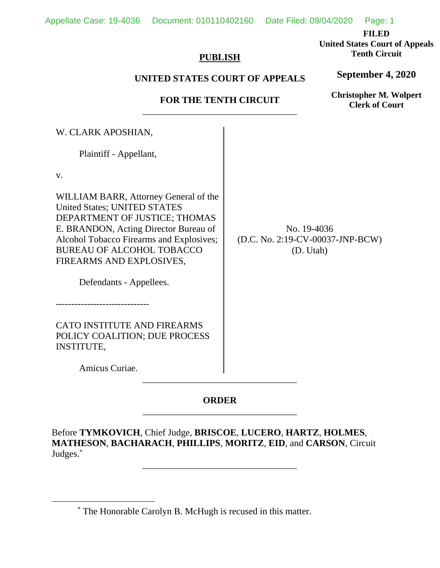**FILED** 

**United States Court of Appeals Tenth Circuit** 

**September 4, 2020**

### **PUBLISH**

## **UNITED STATES COURT OF APPEALS**

## **FOR THE TENTH CIRCUIT**  \_\_\_\_\_\_\_\_\_\_\_\_\_\_\_\_\_\_\_\_\_\_\_\_\_\_\_\_\_\_\_\_\_

W. CLARK APOSHIAN,

Plaintiff - Appellant,

v.

WILLIAM BARR, Attorney General of the United States; UNITED STATES DEPARTMENT OF JUSTICE; THOMAS E. BRANDON, Acting Director Bureau of Alcohol Tobacco Firearms and Explosives; BUREAU OF ALCOHOL TOBACCO FIREARMS AND EXPLOSIVES,

No. 19-4036 (D.C. No. 2:19-CV-00037-JNP-BCW) (D. Utah)

Defendants - Appellees.

------------------------------

CATO INSTITUTE AND FIREARMS POLICY COALITION; DUE PROCESS INSTITUTE,

Amicus Curiae.

# **ORDER** \_\_\_\_\_\_\_\_\_\_\_\_\_\_\_\_\_\_\_\_\_\_\_\_\_\_\_\_\_\_\_\_\_

\_\_\_\_\_\_\_\_\_\_\_\_\_\_\_\_\_\_\_\_\_\_\_\_\_\_\_\_\_\_\_\_\_

Before **TYMKOVICH**, Chief Judge, **BRISCOE**, **LUCERO**, **HARTZ**, **HOLMES**, **MATHESON**, **BACHARACH**, **PHILLIPS**, **MORITZ**, **EID**, and **CARSON**, Circuit Judges.\*

\_\_\_\_\_\_\_\_\_\_\_\_\_\_\_\_\_\_\_\_\_\_\_\_\_\_\_\_\_\_\_\_\_

**Christopher M. Wolpert Clerk of Court**

<sup>\*</sup> The Honorable Carolyn B. McHugh is recused in this matter.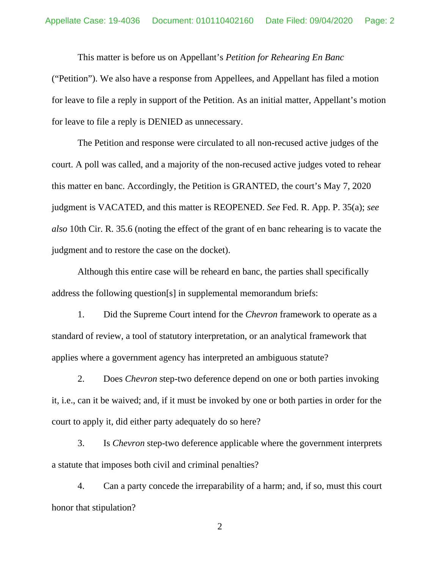This matter is before us on Appellant's *Petition for Rehearing En Banc* 

("Petition"). We also have a response from Appellees, and Appellant has filed a motion for leave to file a reply in support of the Petition. As an initial matter, Appellant's motion for leave to file a reply is DENIED as unnecessary.

The Petition and response were circulated to all non-recused active judges of the court. A poll was called, and a majority of the non-recused active judges voted to rehear this matter en banc. Accordingly, the Petition is GRANTED, the court's May 7, 2020 judgment is VACATED, and this matter is REOPENED. *See* Fed. R. App. P. 35(a); *see also* 10th Cir. R. 35.6 (noting the effect of the grant of en banc rehearing is to vacate the judgment and to restore the case on the docket).

Although this entire case will be reheard en banc, the parties shall specifically address the following question[s] in supplemental memorandum briefs:

1. Did the Supreme Court intend for the *Chevron* framework to operate as a standard of review, a tool of statutory interpretation, or an analytical framework that applies where a government agency has interpreted an ambiguous statute?

2. Does *Chevron* step-two deference depend on one or both parties invoking it, i.e., can it be waived; and, if it must be invoked by one or both parties in order for the court to apply it, did either party adequately do so here?

3. Is *Chevron* step-two deference applicable where the government interprets a statute that imposes both civil and criminal penalties?

4. Can a party concede the irreparability of a harm; and, if so, must this court honor that stipulation?

2